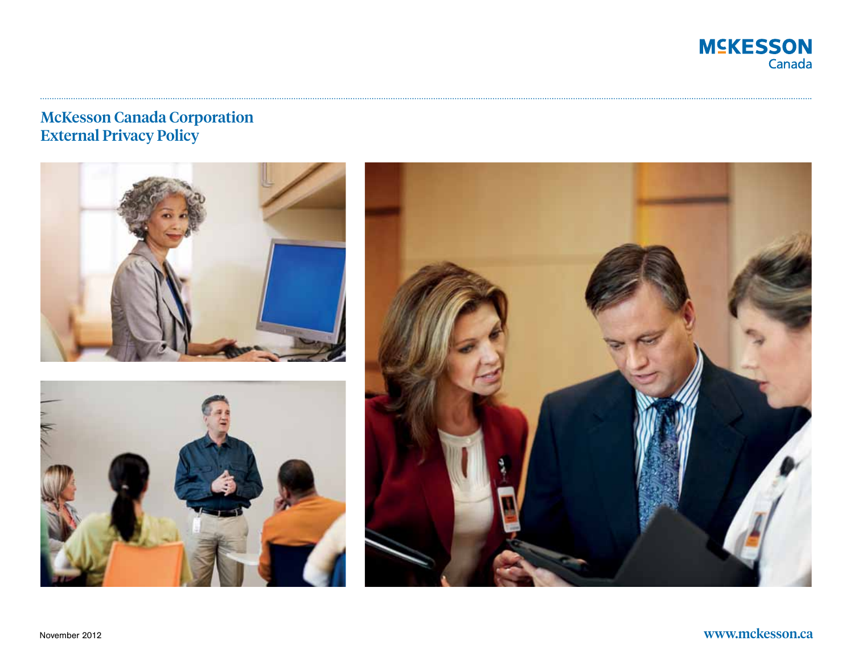

# McKesson Canada Corporation External Privacy Policy





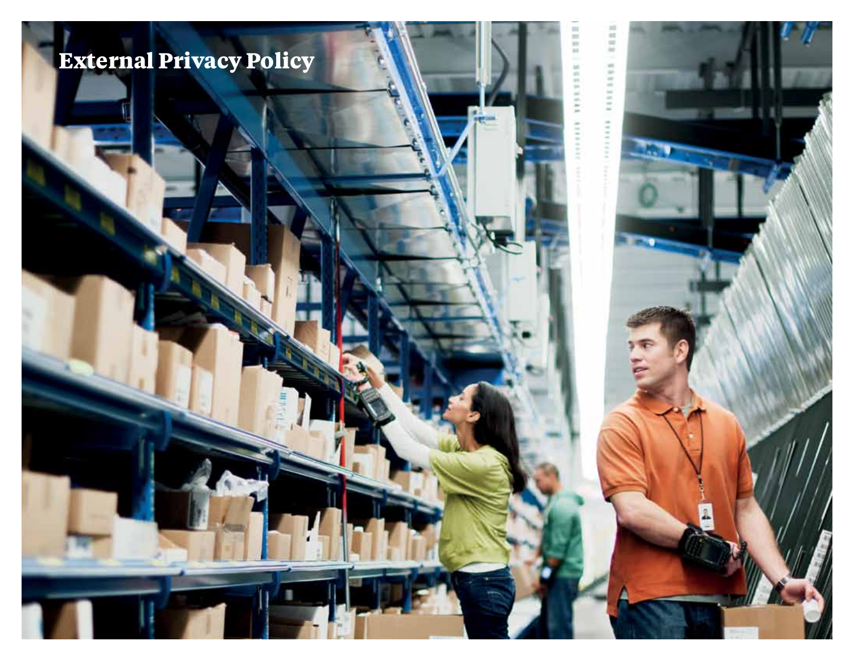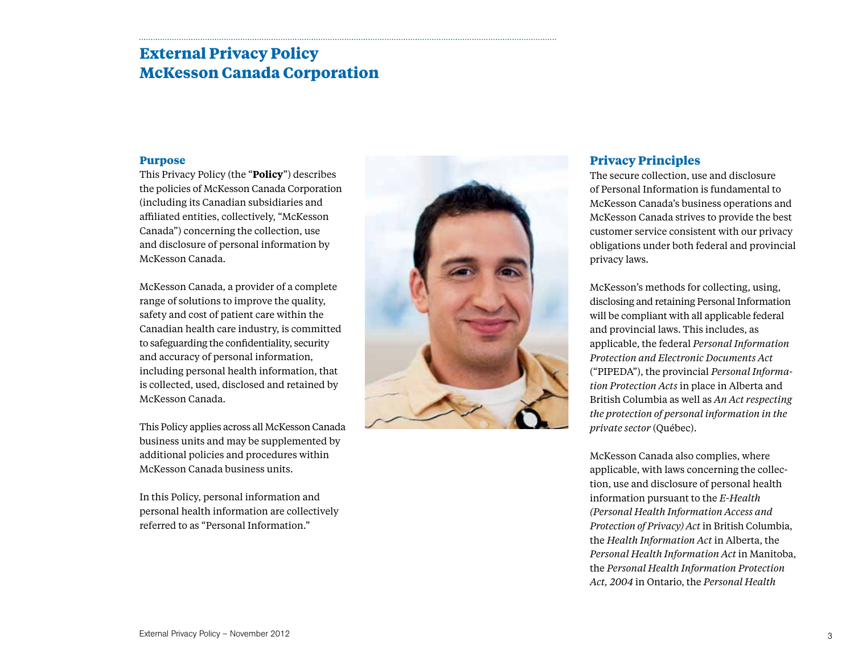# **External Privacy Policy McKesson Canada Corporation**

### **Purpose**

This Privacy Policy (the "**Policy**") describes the policies of McKesson Canada Corporation (including its Canadian subsidiaries and affiliated entities, collectively, "McKesson Canada") concerning the collection, use and disclosure of personal information by McKesson Canada.

McKesson Canada, a provider of a complete range of solutions to improve the quality, safety and cost of patient care within the Canadian health care industry, is committed to safeguarding the confidentiality, security and accuracy of personal information, including personal health information, that is collected, used, disclosed and retained by McKesson Canada.

This Policy applies across all McKesson Canada business units and may be supplemented by additional policies and procedures within McKesson Canada business units.

In this Policy, personal information and personal health information are collectively referred to as "Personal Information."



## **Privacy Principles**

The secure collection, use and disclosure of Personal Information is fundamental to McKesson Canada's business operations and McKesson Canada strives to provide the best customer service consistent with our privacy obligations under both federal and provincial privacy laws.

McKesson's methods for collecting, using, disclosing and retaining Personal Information will be compliant with all applicable federal and provincial laws. This includes, as applicable, the federal *Personal Information Protection and Electronic Documents Act* ("PIPEDA"), the provincial *Personal Information Protection Acts* in place in Alberta and British Columbia as well as *An Act respecting the protection of personal information in the private sector* (Québec).

McKesson Canada also complies, where applicable, with laws concerning the collection, use and disclosure of personal health information pursuant to the *E-Health (Personal Health Information Access and Protection of Privacy) Act* in British Columbia, the *Health Information Act* in Alberta, the *Personal Health Information Act* in Manitoba, the *Personal Health Information Protection Act, 2004* in Ontario, the *Personal Health*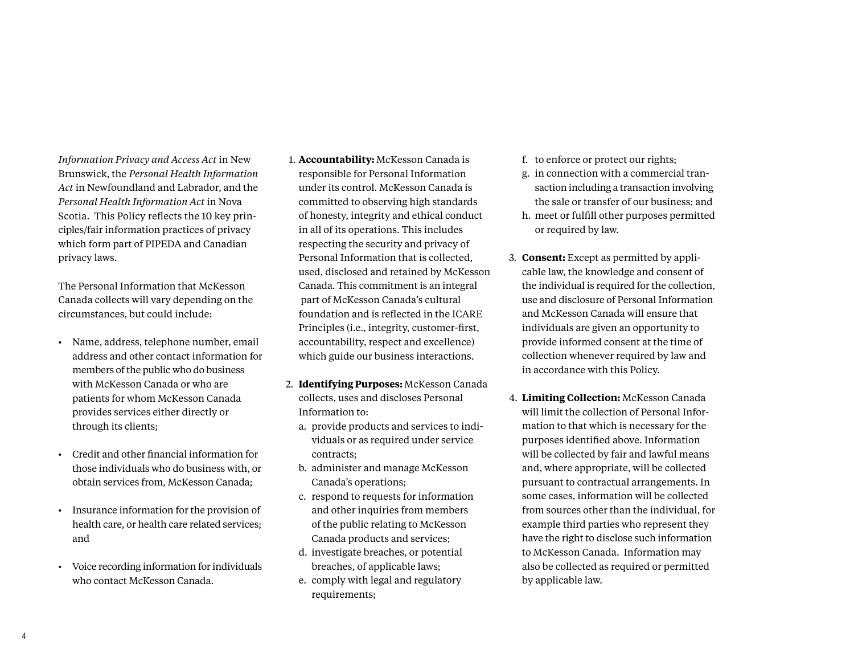*Act* in Newfoundland and Labrador, and the *Personal Health Information Act* in Nova Scotia. This Policy reflects the 10 key principles/fair information practices of privacy which form part of PIPEDA and Canadian privacy laws. The Personal Information that McKesson

Canada collects will vary depending on the circumstances, but could include:

*Information Privacy and Access Act* in New Brunswick, the *Personal Health Information* 

- • Name, address, telephone number, email address and other contact information for members of the public who do business with McKesson Canada or who are patients for whom McKesson Canada provides services either directly or through its clients;
- • Credit and other financial information for those individuals who do business with, or obtain services from, McKesson Canada;
- • Insurance information for the provision of health care, or health care related services; and
- • Voice recording information for individuals who contact McKesson Canada.
- 1. **Accountability:** McKesson Canada is responsible for Personal Information under its control. McKesson Canada is committed to observing high standards of honesty, integrity and ethical conduct in all of its operations. This includes respecting the security and privacy of Personal Information that is collected, used, disclosed and retained by McKesson Canada. This commitment is an integral part of McKesson Canada's cultural foundation and is reflected in the ICARE Principles (i.e., integrity, customer-first, accountability, respect and excellence) which guide our business interactions.
- 2. **Identifying Purposes:** McKesson Canada collects, uses and discloses Personal Information to:
	- a. provide products and services to individuals or as required under service contracts;
	- b. administer and manage McKesson Canada's operations;
	- c. respond to requests for information and other inquiries from members of the public relating to McKesson Canada products and services;
	- d. investigate breaches, or potential breaches, of applicable laws;
	- e. comply with legal and regulatory requirements;
- f. to enforce or protect our rights;
- g. in connection with a commercial transaction including a transaction involving the sale or transfer of our business; and
- h. meet or fulfill other purposes permitted or required by law.
- 3. **Consent:** Except as permitted by applicable law, the knowledge and consent of the individual is required for the collection, use and disclosure of Personal Information and McKesson Canada will ensure that individuals are given an opportunity to provide informed consent at the time of collection whenever required by law and in accordance with this Policy.
- 4. **Limiting Collection:** McKesson Canada will limit the collection of Personal Information to that which is necessary for the purposes identified above. Information will be collected by fair and lawful means and, where appropriate, will be collected pursuant to contractual arrangements. In some cases, information will be collected from sources other than the individual, for example third parties who represent they have the right to disclose such information to McKesson Canada. Information may also be collected as required or permitted by applicable law.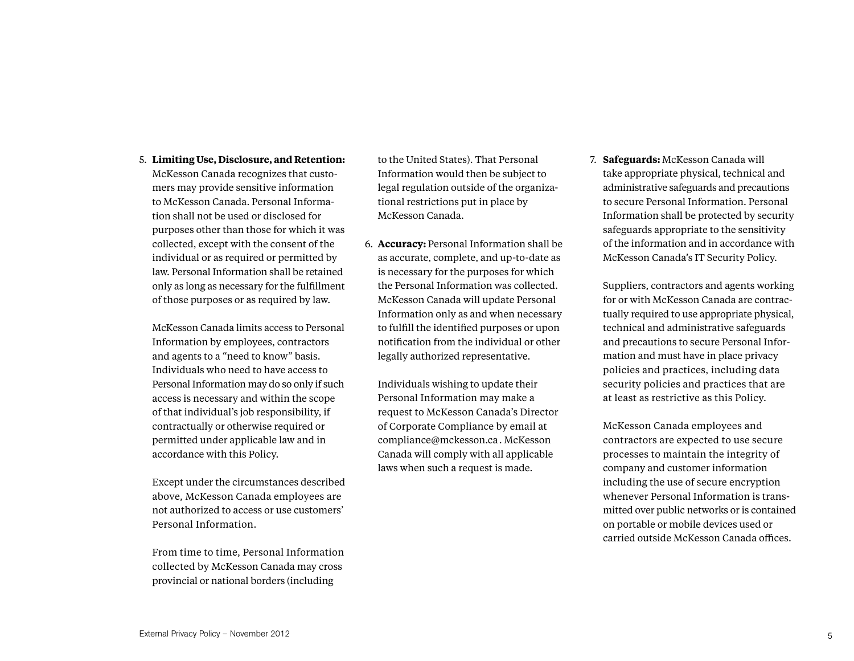#### 5. **Limiting Use, Disclosure, and Retention:**

McKesson Canada recognizes that customers may provide sensitive information to McKesson Canada. Personal Information shall not be used or disclosed for purposes other than those for which it was collected, except with the consent of the individual or as required or permitted by law. Personal Information shall be retained only as long as necessary for the fulfillment of those purposes or as required by law.

McKesson Canada limits access to Personal Information by employees, contractors and agents to a "need to know" basis. Individuals who need to have access to Personal Information may do so only if such access is necessary and within the scope of that individual's job responsibility, if contractually or otherwise required or permitted under applicable law and in accordance with this Policy.

Except under the circumstances described above, McKesson Canada employees are not authorized to access or use customers' Personal Information.

From time to time, Personal Information collected by McKesson Canada may cross provincial or national borders (including

to the United States). That Personal Information would then be subject to legal regulation outside of the organizational restrictions put in place by McKesson Canada.

6. **Accuracy:** Personal Information shall be as accurate, complete, and up-to-date as is necessary for the purposes for which the Personal Information was collected. McKesson Canada will update Personal Information only as and when necessary to fulfill the identified purposes or upon notification from the individual or other legally authorized representative.

Individuals wishing to update their Personal Information may make a request to McKesson Canada's Director of Corporate Compliance by email at compliance@mckesson.ca. McKesson Canada will comply with all applicable laws when such a request is made.

7. **Safeguards:** McKesson Canada will take appropriate physical, technical and administrative safeguards and precautions to secure Personal Information. Personal Information shall be protected by security safeguards appropriate to the sensitivity of the information and in accordance with McKesson Canada's IT Security Policy.

Suppliers, contractors and agents working for or with McKesson Canada are contractually required to use appropriate physical, technical and administrative safeguards and precautions to secure Personal Information and must have in place privacy policies and practices, including data security policies and practices that are at least as restrictive as this Policy.

McKesson Canada employees and contractors are expected to use secure processes to maintain the integrity of company and customer information including the use of secure encryption whenever Personal Information is transmitted over public networks or is contained on portable or mobile devices used or carried outside McKesson Canada offices.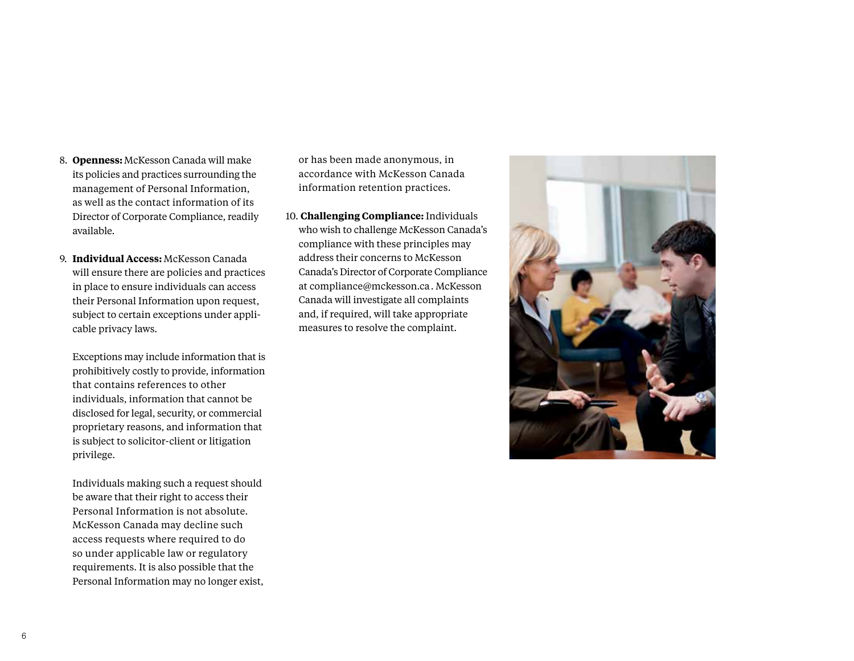- 8. **Openness:** McKesson Canada will make its policies and practices surrounding the management of Personal Information, as well as the contact information of its Director of Corporate Compliance, readily available.
- 9. **Individual Access:** McKesson Canada will ensure there are policies and practices in place to ensure individuals can access their Personal Information upon request, subject to certain exceptions under applicable privacy laws.
	- Exceptions may include information that is prohibitively costly to provide, information that contains references to other individuals, information that cannot be disclosed for legal, security, or commercial proprietary reasons, and information that is subject to solicitor-client or litigation privilege.
	- Individuals making such a request should be aware that their right to access their Personal Information is not absolute. McKesson Canada may decline such access requests where required to do so under applicable law or regulatory requirements. It is also possible that the Personal Information may no longer exist,

or has been made anonymous, in accordance with McKesson Canada information retention practices.

10. **Challenging Compliance:** Individuals who wish to challenge McKesson Canada's compliance with these principles may address their concerns to McKesson Canada's Director of Corporate Compliance at compliance@mckesson.ca. McKesson Canada will investigate all complaints and, if required, will take appropriate measures to resolve the complaint.

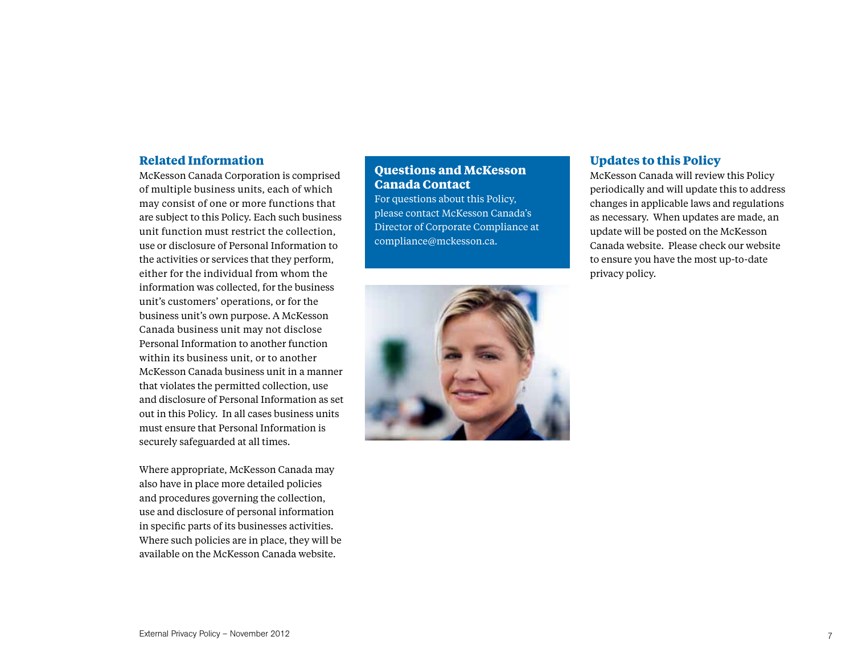## **Related Information**

McKesson Canada Corporation is comprised of multiple business units, each of which may consist of one or more functions that are subject to this Policy. Each such business unit function must restrict the collection, use or disclosure of Personal Information to the activities or services that they perform, either for the individual from whom the information was collected, for the business unit's customers' operations, or for the business unit's own purpose. A McKesson Canada business unit may not disclose Personal Information to another function within its business unit, or to another McKesson Canada business unit in a manner that violates the permitted collection, use and disclosure of Personal Information as set out in this Policy. In all cases business units must ensure that Personal Information is securely safeguarded at all times.

Where appropriate, McKesson Canada may also have in place more detailed policies and procedures governing the collection, use and disclosure of personal information in specific parts of its businesses activities. Where such policies are in place, they will be available on the McKesson Canada website.

## **Questions and McKesson Canada Contact**

For questions about this Policy, please contact McKesson Canada's Director of Corporate Compliance at compliance@mckesson.ca.



## **Updates to this Policy**

McKesson Canada will review this Policy periodically and will update this to address changes in applicable laws and regulations as necessary. When updates are made, an update will be posted on the McKesson Canada website. Please check our website to ensure you have the most up-to-date privacy policy.